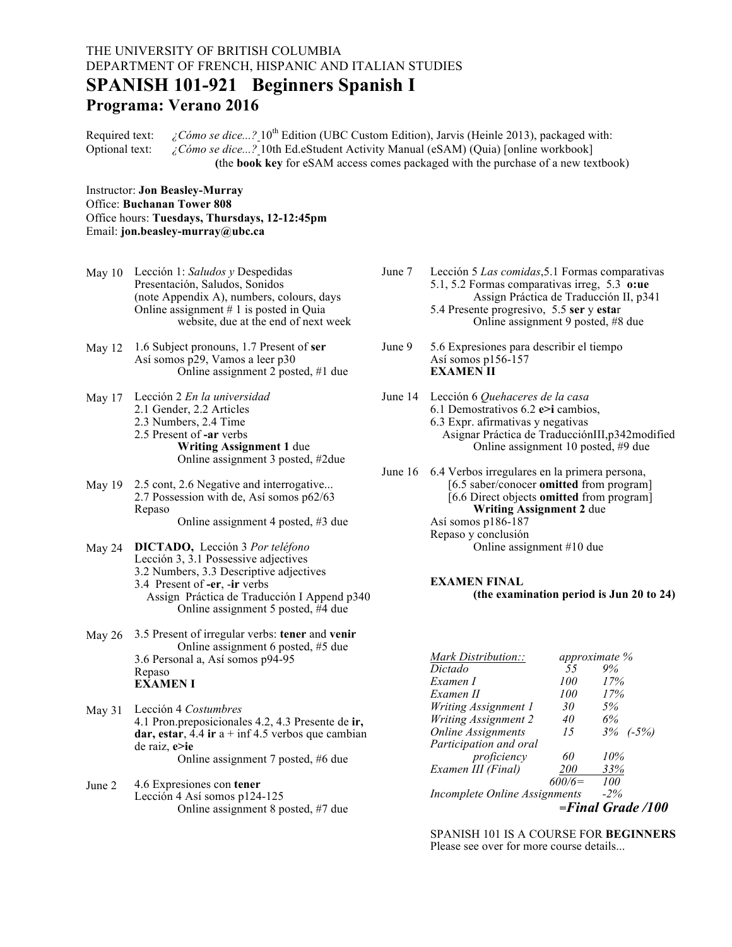## THE UNIVERSITY OF BRITISH COLUMBIA DEPARTMENT OF FRENCH, HISPANIC AND ITALIAN STUDIES **SPANISH 101-921 Beginners Spanish I Programa: Verano 2016**

Required text: *¿Cómo se dice...?* 10<sup>th</sup> Edition (UBC Custom Edition), Jarvis (Heinle 2013), packaged with: Optional text: *¿Cómo se dice...?* 10th Ed.eStudent Activity Manual (eSAM) (Quia) [online workbook] **(**the **book key** for eSAM access comes packaged with the purchase of a new textbook)

Instructor: **Jon Beasley-Murray** Office: **Buchanan Tower 808** Office hours: **Tuesdays, Thursdays, 12-12:45pm** Email: **jon.beasley-murray@ubc.ca**

- May 10 Lección 1: *Saludos y* Despedidas Presentación, Saludos, Sonidos (note Appendix A), numbers, colours, days Online assignment # 1 is posted in Quia website, due at the end of next week
- May 12 1.6 Subject pronouns, 1.7 Present of **ser** Así somos p29, Vamos a leer p30 Online assignment 2 posted, #1 due
- May 17 Lección 2 *En la universidad* 2.1 Gender, 2.2 Articles 2.3 Numbers, 2.4 Time 2.5 Present of **-ar** verbs **Writing Assignment 1** due Online assignment 3 posted, #2due
- May 19 2.5 cont, 2.6 Negative and interrogative... 2.7 Possession with de, Así somos p62/63 Repaso Online assignment 4 posted, #3 due
- May 24 **DICTADO,** Lección 3 *Por teléfono* Lección 3, 3.1 Possessive adjectives 3.2 Numbers, 3.3 Descriptive adjectives 3.4 Present of **-er**, -**ir** verbs Assign Práctica de Traducción I Append p340 Online assignment 5 posted, #4 due
- May 26 3.5 Present of irregular verbs: **tener** and **venir** Online assignment 6 posted, #5 due 3.6 Personal a, Así somos p94-95 Repaso **EXAMEN I** *Dictado Dictado 55 9%*
	- May 31 Lección 4 *Costumbres* 4.1 Pron.preposicionales 4.2, 4.3 Presente de **ir,**   $\textbf{dar, estar}, 4.4 \textbf{ir} \textbf{a} + \text{inf } 4.5 \text{ verbs} \textbf{que cambian}$ de raiz, **e>ie** Online assignment 7 posted, #6 due
	- June 2 4.6 Expresiones con **tener** Lección 4 Así somos p124-125 Online assignment 8 posted, #7 due
- June 7 Lección 5 *Las comidas*,5.1 Formas comparativas 5.1, 5.2 Formas comparativas irreg, 5.3 **o:ue** Assign Práctica de Traducción II, p341 5.4 Presente progresivo, 5.5 **ser** y **esta**r Online assignment 9 posted, #8 due
- June 9 5.6 Expresiones para describir el tiempo Así somos p156-157 **EXAMEN II**
- June 14 Lección 6 *Quehaceres de la casa* 6.1 Demostrativos 6.2 **e>i** cambios, 6.3 Expr. afirmativas y negativas Asignar Práctica de TraducciónIII,p342modified Online assignment 10 posted, #9 due
- June 16 6.4 Verbos irregulares en la primera persona, [6.5 saber/conocer **omitted** from program] [6.6 Direct objects **omitted** from program] **Writing Assignment 2** due Así somos p186-187 Repaso y conclusión Online assignment #10 due

## **EXAMEN FINAL (the examination period is Jun 20 to 24)**

| Mark Distribution::           | approximate % |                        |
|-------------------------------|---------------|------------------------|
| Dictado                       | 55            | 9%                     |
| Examen I                      | 100           | 17%                    |
| Examen II                     | 100           | 17%                    |
| Writing Assignment 1          | 30            | 5%                     |
| <b>Writing Assignment 2</b>   | 40            | 6%                     |
| <b>Online Assignments</b>     | 15            | $3\%$ (-5%)            |
| Participation and oral        |               |                        |
| proficiency                   | 60            | 10%                    |
| Examen III (Final)            | <i>200</i>    | 33%                    |
|                               | $600/6=$      | 100                    |
| Incomplete Online Assignments |               | $-2\%$                 |
|                               |               | $=$ Final Grade $/100$ |

SPANISH 101 IS A COURSE FOR **BEGINNERS** Please see over for more course details...